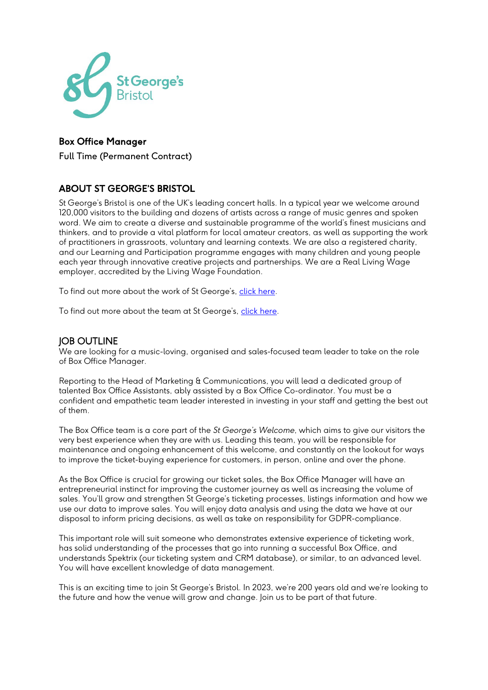

# Box Office Manager

Full Time (Permanent Contract)

# ABOUT ST GEORGE'S BRISTOL

St George's Bristol is one of the UK's leading concert halls. In a typical year we welcome around 120,000 visitors to the building and dozens of artists across a range of music genres and spoken word. We aim to create a diverse and sustainable programme of the world's finest musicians and thinkers, and to provide a vital platform for local amateur creators, as well as supporting the work of practitioners in grassroots, voluntary and learning contexts. We are also a registered charity, and our Learning and Participation programme engages with many children and young people each year through innovative creative projects and partnerships. We are a Real Living Wage employer, accredited by the Living Wage Foundation.

To find out more about the work of St George's, [click here.](https://www.stgeorgesbristol.co.uk/about-us/)

To find out more about the team at St George's, [click here.](https://www.stgeorgesbristol.co.uk/about-us/our-team/)

### JOB OUTLINE

We are looking for a music-loving, organised and sales-focused team leader to take on the role of Box Office Manager.

Reporting to the Head of Marketing & Communications, you will lead a dedicated group of talented Box Office Assistants, ably assisted by a Box Office Co-ordinator. You must be a confident and empathetic team leader interested in investing in your staff and getting the best out of them.

The Box Office team is a core part of the *St George's Welcome*, which aims to give our visitors the very best experience when they are with us. Leading this team, you will be responsible for maintenance and ongoing enhancement of this welcome, and constantly on the lookout for ways to improve the ticket-buying experience for customers, in person, online and over the phone.

As the Box Office is crucial for growing our ticket sales, the Box Office Manager will have an entrepreneurial instinct for improving the customer journey as well as increasing the volume of sales. You'll grow and strengthen St George's ticketing processes, listings information and how we use our data to improve sales. You will enjoy data analysis and using the data we have at our disposal to inform pricing decisions, as well as take on responsibility for GDPR-compliance.

This important role will suit someone who demonstrates extensive experience of ticketing work, has solid understanding of the processes that go into running a successful Box Office, and understands Spektrix (our ticketing system and CRM database), or similar, to an advanced level. You will have excellent knowledge of data management.

This is an exciting time to join St George's Bristol. In 2023, we're 200 years old and we're looking to the future and how the venue will grow and change. Join us to be part of that future.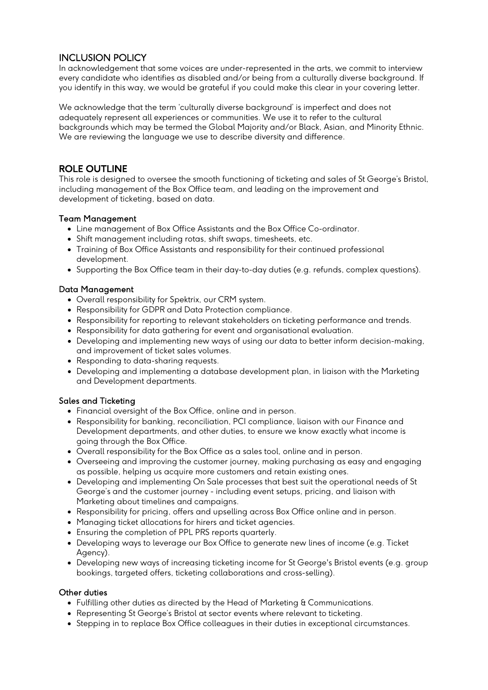# INCLUSION POLICY

In acknowledgement that some voices are under-represented in the arts, we commit to interview every candidate who identifies as disabled and/or being from a culturally diverse background. If you identify in this way, we would be grateful if you could make this clear in your covering letter.

We acknowledge that the term 'culturally diverse background' is imperfect and does not adequately represent all experiences or communities. We use it to refer to the cultural backgrounds which may be termed the Global Majority and/or Black, Asian, and Minority Ethnic. We are reviewing the language we use to describe diversity and difference.

## ROLE OUTLINE

This role is designed to oversee the smooth functioning of ticketing and sales of St George's Bristol, including management of the Box Office team, and leading on the improvement and development of ticketing, based on data.

#### Team Management

- Line management of Box Office Assistants and the Box Office Co-ordinator.
- Shift management including rotas, shift swaps, timesheets, etc.
- Training of Box Office Assistants and responsibility for their continued professional development.
- Supporting the Box Office team in their day-to-day duties (e.g. refunds, complex questions).

#### Data Management

- Overall responsibility for Spektrix, our CRM system.
- Responsibility for GDPR and Data Protection compliance.
- Responsibility for reporting to relevant stakeholders on ticketing performance and trends.
- Responsibility for data gathering for event and organisational evaluation.
- Developing and implementing new ways of using our data to better inform decision-making, and improvement of ticket sales volumes.
- Responding to data-sharing requests.
- Developing and implementing a database development plan, in liaison with the Marketing and Development departments.

#### Sales and Ticketing

- Financial oversight of the Box Office, online and in person.
- Responsibility for banking, reconciliation, PCI compliance, liaison with our Finance and Development departments, and other duties, to ensure we know exactly what income is going through the Box Office.
- Overall responsibility for the Box Office as a sales tool, online and in person.
- Overseeing and improving the customer journey, making purchasing as easy and engaging as possible, helping us acquire more customers and retain existing ones.
- Developing and implementing On Sale processes that best suit the operational needs of St George's and the customer journey - including event setups, pricing, and liaison with Marketing about timelines and campaigns.
- Responsibility for pricing, offers and upselling across Box Office online and in person.
- Managing ticket allocations for hirers and ticket agencies.
- Ensuring the completion of PPL PRS reports quarterly.
- Developing ways to leverage our Box Office to generate new lines of income (e.g. Ticket Agency).
- Developing new ways of increasing ticketing income for St George's Bristol events (e.g. group bookings, targeted offers, ticketing collaborations and cross-selling).

#### Other duties

- Fulfilling other duties as directed by the Head of Marketing & Communications.
- Representing St George's Bristol at sector events where relevant to ticketing.
- Stepping in to replace Box Office colleagues in their duties in exceptional circumstances.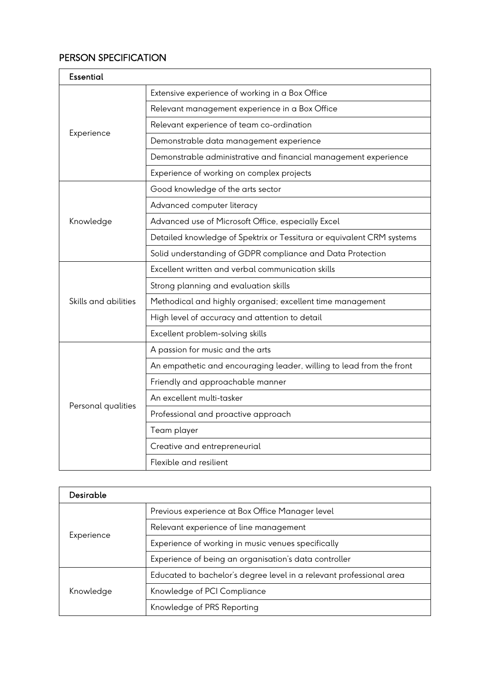# PERSON SPECIFICATION

| <b>Essential</b>     |                                                                       |  |
|----------------------|-----------------------------------------------------------------------|--|
| Experience           | Extensive experience of working in a Box Office                       |  |
|                      | Relevant management experience in a Box Office                        |  |
|                      | Relevant experience of team co-ordination                             |  |
|                      | Demonstrable data management experience                               |  |
|                      | Demonstrable administrative and financial management experience       |  |
|                      | Experience of working on complex projects                             |  |
| Knowledge            | Good knowledge of the arts sector                                     |  |
|                      | Advanced computer literacy                                            |  |
|                      | Advanced use of Microsoft Office, especially Excel                    |  |
|                      | Detailed knowledge of Spektrix or Tessitura or equivalent CRM systems |  |
|                      | Solid understanding of GDPR compliance and Data Protection            |  |
| Skills and abilities | Excellent written and verbal communication skills                     |  |
|                      | Strong planning and evaluation skills                                 |  |
|                      | Methodical and highly organised; excellent time management            |  |
|                      | High level of accuracy and attention to detail                        |  |
|                      | Excellent problem-solving skills                                      |  |
| Personal qualities   | A passion for music and the arts                                      |  |
|                      | An empathetic and encouraging leader, willing to lead from the front  |  |
|                      | Friendly and approachable manner                                      |  |
|                      | An excellent multi-tasker                                             |  |
|                      | Professional and proactive approach                                   |  |
|                      | Team player                                                           |  |
|                      | Creative and entrepreneurial                                          |  |
|                      | Flexible and resilient                                                |  |

| <b>Desirable</b> |                                                                     |
|------------------|---------------------------------------------------------------------|
| Experience       | Previous experience at Box Office Manager level                     |
|                  | Relevant experience of line management                              |
|                  | Experience of working in music venues specifically                  |
|                  | Experience of being an organisation's data controller               |
| Knowledge        | Educated to bachelor's degree level in a relevant professional area |
|                  | Knowledge of PCI Compliance                                         |
|                  | Knowledge of PRS Reporting                                          |